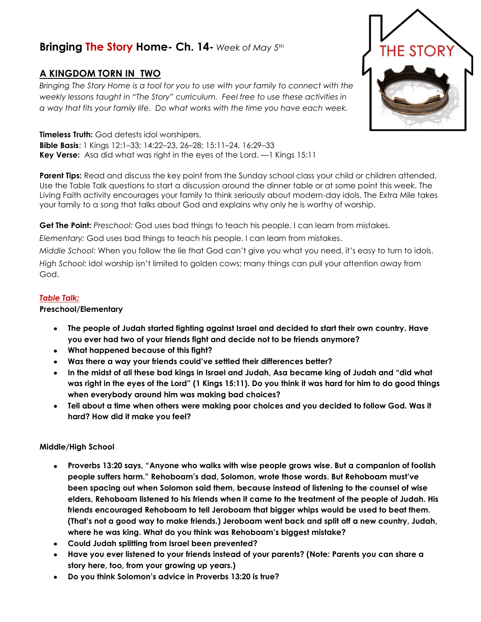# **Bringing The Story Home- Ch. 14-** *Week of May 5th*

## **A KINGDOM TORN IN TWO**

*Bringing The Story Home is a tool for you to use with your family to connect with the weekly lessons taught in "The Story" curriculum. Feel free to use these activities in a way that fits your family life. Do what works with the time you have each week.* 

**Timeless Truth:** God detests idol worshipers. **Bible Basis**: 1 Kings 12:1–33; 14:22–23, 26–28; 15:11–24, 16:29–33 **Key Verse:** Asa did what was right in the eyes of the Lord. —1 Kings 15:11

**Parent Tips:** Read and discuss the key point from the Sunday school class your child or children attended. Use the Table Talk questions to start a discussion around the dinner table or at some point this week. The Living Faith activity encourages your family to think seriously about modern-day idols. The Extra Mile takes your family to a song that talks about God and explains why only he is worthy of worship.

**Get The Point:** *Preschool:* God uses bad things to teach his people. I can learn from mistakes.

*Elementary:* God uses bad things to teach his people. I can learn from mistakes.

*Middle School:* When you follow the lie that God can't give you what you need, it's easy to turn to idols. *High School:* Idol worship isn't limited to golden cows; many things can pull your attention away from God.

#### *Table Talk:*

#### **Preschool/Elementary**

- **The people of Judah started fighting against Israel and decided to start their own country. Have you ever had two of your friends fight and decide not to be friends anymore?**
- **What happened because of this fight?**
- **Was there a way your friends could've settled their differences better?**
- **In the midst of all these bad kings in Israel and Judah, Asa became king of Judah and "did what was right in the eyes of the Lord" (1 Kings 15:11). Do you think it was hard for him to do good things when everybody around him was making bad choices?**
- **Tell about a time when others were making poor choices and you decided to follow God. Was it hard? How did it make you feel?**

### **Middle/High School**

- **Proverbs 13:20 says, "Anyone who walks with wise people grows wise. But a companion of foolish**   $\bullet$ **people suffers harm." Rehoboam's dad, Solomon, wrote those words. But Rehoboam must've been spacing out when Solomon said them, because instead of listening to the counsel of wise elders, Rehoboam listened to his friends when it came to the treatment of the people of Judah. His friends encouraged Rehoboam to tell Jeroboam that bigger whips would be used to beat them. (That's not a good way to make friends.) Jeroboam went back and split off a new country, Judah, where he was king. What do you think was Rehoboam's biggest mistake?**
- **Could Judah splitting from Israel been prevented?**
- **Have you ever listened to your friends instead of your parents? (Note: Parents you can share a story here, too, from your growing up years.)**
- **Do you think Solomon's advice in Proverbs 13:20 is true?**